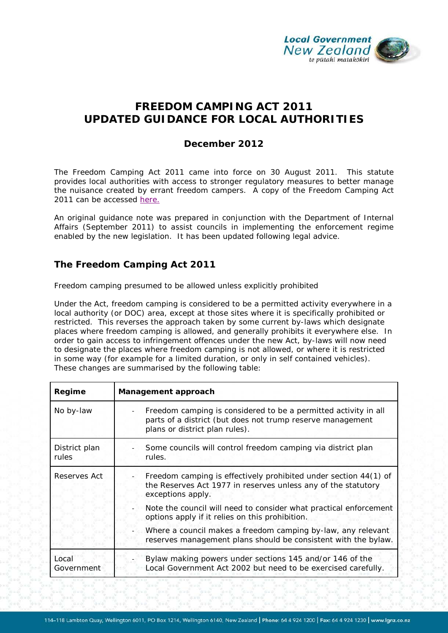

# **FREEDOM CAMPING ACT 2011 UPDATED GUIDANCE FOR LOCAL AUTHORITIES**

## **December 2012**

The Freedom Camping Act 2011 came into force on 30 August 2011. This statute provides local authorities with access to stronger regulatory measures to better manage the nuisance created by errant freedom campers. A copy of the Freedom Camping Act 2011 can be accessed [here.](http://www.legislation.govt.nz/act/public/2011/0061/latest/DLM3742815.html)

An original guidance note was prepared in conjunction with the Department of Internal Affairs (September 2011) to assist councils in implementing the enforcement regime enabled by the new legislation. It has been updated following legal advice.

# **The Freedom Camping Act 2011**

#### *Freedom camping presumed to be allowed unless explicitly prohibited*

Under the Act, freedom camping is considered to be a permitted activity everywhere in a local authority (or DOC) area, except at those sites where it is specifically prohibited or restricted. This reverses the approach taken by some current by-laws which designate places where freedom camping *is allowed,* and generally prohibits it everywhere else. In order to gain access to infringement offences under the new Act, by-laws will now need to designate the places where freedom camping is *not allowed*, or where it is restricted in some way (for example for a limited duration, or only in self contained vehicles). These changes are summarised by the following table:

| Regime                 | Management approach                                                                                                                                             |
|------------------------|-----------------------------------------------------------------------------------------------------------------------------------------------------------------|
| No by-law              | Freedom camping is considered to be a permitted activity in all<br>parts of a district (but does not trump reserve management<br>plans or district plan rules). |
| District plan<br>rules | Some councils will control freedom camping via district plan<br>rules.                                                                                          |
| Reserves Act           | Freedom camping is effectively prohibited under section 44(1) of<br>the Reserves Act 1977 in reserves unless any of the statutory<br>exceptions apply.          |
|                        | Note the council will need to consider what practical enforcement<br>options apply if it relies on this prohibition.                                            |
|                        | Where a council makes a freedom camping by-law, any relevant<br>reserves management plans should be consistent with the bylaw.                                  |
| Local<br>Government    | Bylaw making powers under sections 145 and/or 146 of the<br>Local Government Act 2002 but need to be exercised carefully.                                       |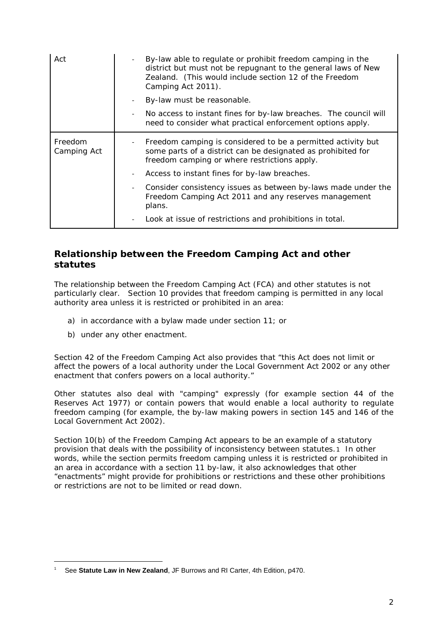| Act                    | By-law able to regulate or prohibit freedom camping in the<br>district but must not be repugnant to the general laws of New<br>Zealand. (This would include section 12 of the Freedom<br>Camping Act 2011). |
|------------------------|-------------------------------------------------------------------------------------------------------------------------------------------------------------------------------------------------------------|
|                        | By-law must be reasonable.                                                                                                                                                                                  |
|                        | No access to instant fines for by-law breaches. The council will<br>need to consider what practical enforcement options apply.                                                                              |
| Freedom<br>Camping Act | Freedom camping is considered to be a permitted activity but<br>some parts of a district can be designated as prohibited for<br>freedom camping or where restrictions apply.                                |
|                        | Access to instant fines for by-law breaches.                                                                                                                                                                |
|                        | Consider consistency issues as between by-laws made under the<br>Freedom Camping Act 2011 and any reserves management<br>plans.                                                                             |
|                        | Look at issue of restrictions and prohibitions in total.                                                                                                                                                    |

# **Relationship between the Freedom Camping Act and other statutes**

The relationship between the Freedom Camping Act (FCA) and other statutes is not particularly clear. Section 10 provides that freedom camping is permitted in any local authority area unless it is restricted or prohibited in an area:

- a) in accordance with a bylaw made under section 11; or
- b) under any other enactment.

-

Section 42 of the Freedom Camping Act also provides that "this Act does not limit or affect the powers of a local authority under the Local Government Act 2002 or any other enactment that confers powers on a local authority."

Other statutes also deal with "camping" expressly (for example section 44 of the Reserves Act 1977) or contain powers that would enable a local authority to regulate freedom camping (for example, the by-law making powers in section 145 and 146 of the Local Government Act 2002).

Section 10(b) of the Freedom Camping Act appears to be an example of a statutory provision that deals with the possibility of inconsistency between statutes.[1](#page-1-0) In other words, while the section permits freedom camping unless it is restricted or prohibited in an area in accordance with a section 11 by-law, it also acknowledges that other "enactments" might provide for prohibitions or restrictions and these other prohibitions or restrictions are not to be limited or read down.

<span id="page-1-0"></span><sup>1</sup> See **Statute Law in New Zealand**, JF Burrows and RI Carter, 4th Edition, p470.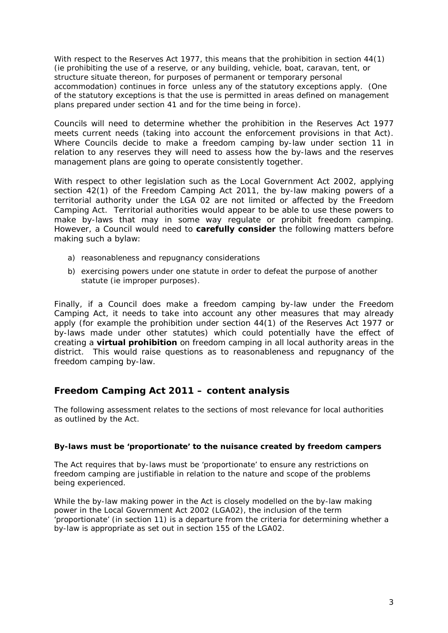With respect to the Reserves Act 1977, this means that the prohibition in section 44(1) (ie prohibiting the use of a reserve, or any building, vehicle, boat, caravan, tent, or structure situate thereon, for purposes of permanent or temporary personal accommodation) continues in force unless any of the statutory exceptions apply. (One of the statutory exceptions is that the use is permitted in areas defined on management plans prepared under section 41 and for the time being in force).

Councils will need to determine whether the prohibition in the Reserves Act 1977 meets current needs (taking into account the enforcement provisions in that Act). Where Councils decide to make a freedom camping by-law under section 11 in relation to any reserves they will need to assess how the by-laws and the reserves management plans are going to operate consistently together.

With respect to other legislation such as the Local Government Act 2002, applying section 42(1) of the Freedom Camping Act 2011, the by-law making powers of a territorial authority under the LGA 02 are not limited or affected by the Freedom Camping Act. Territorial authorities would appear to be able to use these powers to make by-laws that may in some way regulate or prohibit freedom camping. However, a Council would need to **carefully consider** the following matters before making such a bylaw:

- a) reasonableness and repugnancy considerations
- b) exercising powers under one statute in order to defeat the purpose of another statute (ie improper purposes).

Finally, if a Council does make a freedom camping by-law under the Freedom Camping Act, it needs to take into account any other measures that may already apply (for example the prohibition under section 44(1) of the Reserves Act 1977 or by-laws made under other statutes) which could potentially have the effect of creating a **virtual prohibition** on freedom camping in all local authority areas in the district. This would raise questions as to reasonableness and repugnancy of the freedom camping by-law.

# **Freedom Camping Act 2011 – content analysis**

The following assessment relates to the sections of most relevance for local authorities as outlined by the Act.

## **By-laws must be 'proportionate' to the nuisance created by freedom campers**

The Act requires that by-laws must be 'proportionate' to ensure any restrictions on freedom camping are justifiable in relation to the nature and scope of the problems being experienced.

While the by-law making power in the Act is closely modelled on the by-law making power in the Local Government Act 2002 (LGA02), the inclusion of the term 'proportionate' (in section 11) is a departure from the criteria for determining whether a by-law is appropriate as set out in section 155 of the LGA02.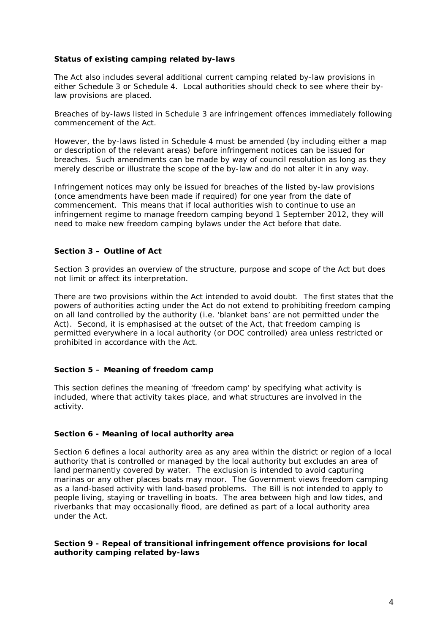### **Status of existing camping related by-laws**

The Act also includes several additional current camping related by-law provisions in either Schedule 3 or Schedule 4. Local authorities should check to see where their bylaw provisions are placed.

Breaches of by-laws listed in Schedule 3 are infringement offences immediately following commencement of the Act.

However, the by-laws listed in Schedule 4 must be amended (by including either a map or description of the relevant areas) before infringement notices can be issued for breaches. Such amendments can be made by way of council resolution as long as they merely describe or illustrate the scope of the by-law and do not alter it in any way.

Infringement notices may only be issued for breaches of the listed by-law provisions (once amendments have been made if required) for one year from the date of commencement. This means that if local authorities wish to continue to use an infringement regime to manage freedom camping beyond 1 September 2012, they will need to make new freedom camping bylaws under the Act before that date.

### **Section 3 – Outline of Act**

Section 3 provides an overview of the structure, purpose and scope of the Act but does not limit or affect its interpretation.

There are two provisions within the Act intended to avoid doubt. The first states that the powers of authorities acting under the Act do not extend to prohibiting freedom camping on all land controlled by the authority (i.e. 'blanket bans' are not permitted under the Act). Second, it is emphasised at the outset of the Act, that freedom camping is permitted everywhere in a local authority (or DOC controlled) area unless restricted or prohibited in accordance with the Act.

#### **Section 5 – Meaning of freedom camp**

This section defines the meaning of 'freedom camp' by specifying what activity is included, where that activity takes place, and what structures are involved in the activity.

#### **Section 6 - Meaning of local authority area**

Section 6 defines a local authority area as any area within the district or region of a local authority that is controlled or managed by the local authority but excludes an area of land permanently covered by water. The exclusion is intended to avoid capturing marinas or any other places boats may moor. The Government views freedom camping as a land-based activity with land-based problems. The Bill is not intended to apply to people living, staying or travelling in boats. The area between high and low tides, and riverbanks that may occasionally flood, are defined as part of a local authority area under the Act.

#### **Section 9 - Repeal of transitional infringement offence provisions for local authority camping related by-laws**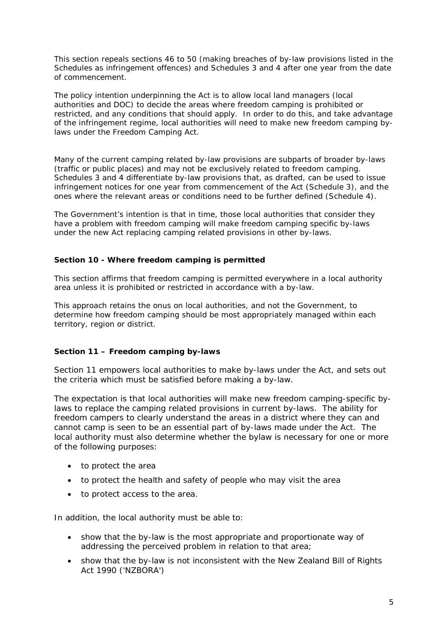This section repeals sections 46 to 50 (making breaches of by-law provisions listed in the Schedules as infringement offences) and Schedules 3 and 4 after one year from the date of commencement.

The policy intention underpinning the Act is to allow local land managers (local authorities and DOC) to decide the areas where freedom camping is prohibited or restricted, and any conditions that should apply. In order to do this, and take advantage of the infringement regime, local authorities will need to make new freedom camping bylaws under the Freedom Camping Act.

Many of the current camping related by-law provisions are subparts of broader by-laws (traffic or public places) and may not be exclusively related to freedom camping. Schedules 3 and 4 differentiate by-law provisions that, as drafted, can be used to issue infringement notices for one year from commencement of the Act (Schedule 3), and the ones where the relevant areas or conditions need to be further defined (Schedule 4).

The Government's intention is that in time, those local authorities that consider they have a problem with freedom camping will make freedom camping specific by-laws under the new Act replacing camping related provisions in other by-laws.

### **Section 10 - Where freedom camping is permitted**

This section affirms that freedom camping is permitted everywhere in a local authority area unless it is prohibited or restricted in accordance with a by-law.

This approach retains the onus on local authorities, and not the Government, to determine how freedom camping should be most appropriately managed within each territory, region or district.

## **Section 11 – Freedom camping by-laws**

Section 11 empowers local authorities to make by-laws under the Act, and sets out the criteria which must be satisfied before making a by-law.

The expectation is that local authorities will make new freedom camping-specific bylaws to replace the camping related provisions in current by-laws. The ability for freedom campers to clearly understand the areas in a district where they can and cannot camp is seen to be an essential part of by-laws made under the Act. The local authority must also determine whether the bylaw is necessary for one or more of the following purposes:

- to protect the area
- to protect the health and safety of people who may visit the area
- to protect access to the area.

In addition, the local authority must be able to:

- show that the by-law is the most appropriate and proportionate way of addressing the perceived problem in relation to that area;
- show that the by-law is not inconsistent with the New Zealand Bill of Rights Act 1990 ('NZBORA')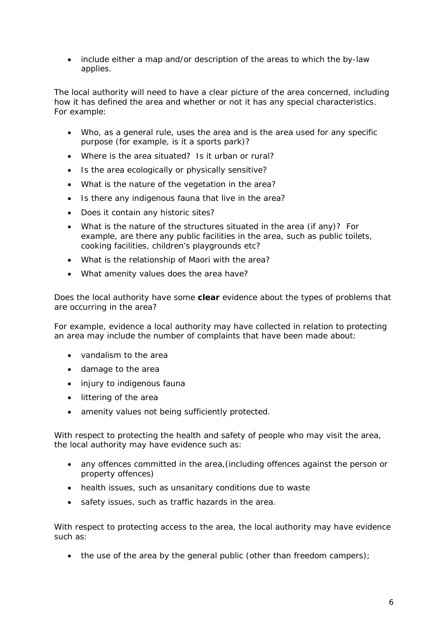• include either a map and/or description of the areas to which the by-law applies.

The local authority will need to have a clear picture of the area concerned, including how it has defined the area and whether or not it has any special characteristics. For example:

- Who, as a general rule, uses the area and is the area used for any specific purpose (for example, is it a sports park)?
- Where is the area situated? Is it urban or rural?
- Is the area ecologically or physically sensitive?
- What is the nature of the vegetation in the area?
- Is there any indigenous fauna that live in the area?
- Does it contain any historic sites?
- What is the nature of the structures situated in the area (if any)? For example, are there any public facilities in the area, such as public toilets, cooking facilities, children's playgrounds etc?
- What is the relationship of Maori with the area?
- What amenity values does the area have?

Does the local authority have some **clear** evidence about the types of problems that are occurring in the area?

For example, evidence a local authority may have collected in relation to protecting an area may include the number of complaints that have been made about:

- vandalism to the area
- damage to the area
- injury to indigenous fauna
- littering of the area
- amenity values not being sufficiently protected.

With respect to protecting the health and safety of people who may visit the area, the local authority may have evidence such as:

- any offences committed in the area,(including offences against the person or property offences)
- health issues, such as unsanitary conditions due to waste
- safety issues, such as traffic hazards in the area.

With respect to protecting access to the area, the local authority may have evidence such as:

• the use of the area by the general public (other than freedom campers);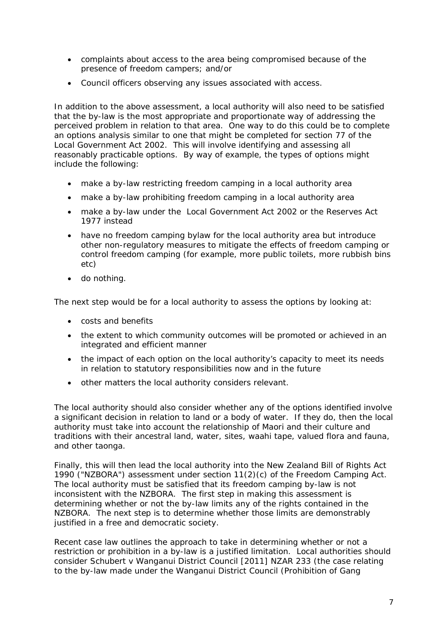- complaints about access to the area being compromised because of the presence of freedom campers; and/or
- Council officers observing any issues associated with access.

In addition to the above assessment, a local authority will also need to be satisfied that the by-law is the most appropriate and proportionate way of addressing the perceived problem in relation to that area. One way to do this could be to complete an options analysis similar to one that might be completed for section 77 of the Local Government Act 2002. This will involve identifying and assessing all reasonably practicable options. By way of example, the types of options might include the following:

- make a by-law restricting freedom camping in a local authority area
- make a by-law prohibiting freedom camping in a local authority area
- make a by-law under the Local Government Act 2002 or the Reserves Act 1977 instead
- have no freedom camping bylaw for the local authority area but introduce other non-regulatory measures to mitigate the effects of freedom camping or control freedom camping (for example, more public toilets, more rubbish bins etc)
- do nothing.

The next step would be for a local authority to assess the options by looking at:

- costs and benefits
- the extent to which community outcomes will be promoted or achieved in an integrated and efficient manner
- the impact of each option on the local authority's capacity to meet its needs in relation to statutory responsibilities now and in the future
- other matters the local authority considers relevant.

The local authority should also consider whether any of the options identified involve a significant decision in relation to land or a body of water. If they do, then the local authority must take into account the relationship of Maori and their culture and traditions with their ancestral land, water, sites, waahi tape, valued flora and fauna, and other taonga.

Finally, this will then lead the local authority into the New Zealand Bill of Rights Act 1990 ("NZBORA") assessment under section 11(2)(c) of the Freedom Camping Act. The local authority must be satisfied that its freedom camping by-law is not inconsistent with the NZBORA. The first step in making this assessment is determining whether or not the by-law limits any of the rights contained in the NZBORA. The next step is to determine whether those limits are demonstrably justified in a free and democratic society.

Recent case law outlines the approach to take in determining whether or not a restriction or prohibition in a by-law is a justified limitation. Local authorities should consider Schubert v Wanganui District Council [2011] NZAR 233 (the case relating to the by-law made under the Wanganui District Council (Prohibition of Gang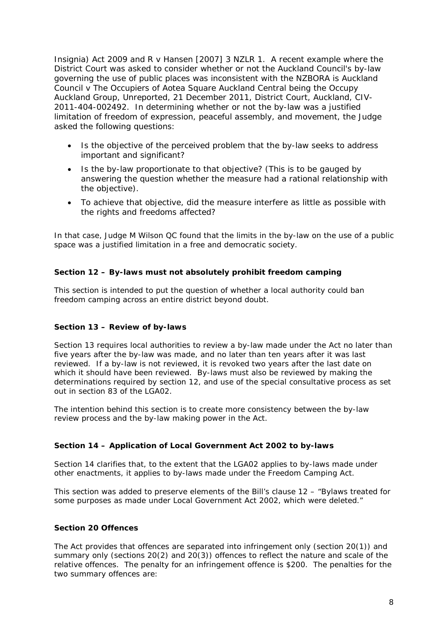Insignia) Act 2009 and R v Hansen [2007] 3 NZLR 1. A recent example where the District Court was asked to consider whether or not the Auckland Council's by-law governing the use of public places was inconsistent with the NZBORA is Auckland Council v The Occupiers of Aotea Square Auckland Central being the Occupy Auckland Group, Unreported, 21 December 2011, District Court, Auckland, CIV-2011-404-002492. In determining whether or not the by-law was a justified limitation of freedom of expression, peaceful assembly, and movement, the Judge asked the following questions:

- Is the objective of the perceived problem that the by-law seeks to address important and significant?
- Is the by-law proportionate to that objective? (This is to be gauged by answering the question whether the measure had a rational relationship with the objective).
- To achieve that objective, did the measure interfere as little as possible with the rights and freedoms affected?

In that case, Judge M Wilson QC found that the limits in the by-law on the use of a public space was a justified limitation in a free and democratic society.

## **Section 12 – By-laws must not absolutely prohibit freedom camping**

This section is intended to put the question of whether a local authority could ban freedom camping across an entire district beyond doubt.

#### **Section 13 – Review of by-laws**

Section 13 requires local authorities to review a by-law made under the Act no later than five years after the by-law was made, and no later than ten years after it was last reviewed. If a by-law is not reviewed, it is revoked two years after the last date on which it should have been reviewed. By-laws must also be reviewed by making the determinations required by section 12, and use of the special consultative process as set out in section 83 of the LGA02.

The intention behind this section is to create more consistency between the by-law review process and the by-law making power in the Act.

#### **Section 14 – Application of Local Government Act 2002 to by-laws**

Section 14 clarifies that, to the extent that the LGA02 applies to by-laws made under other enactments, it applies to by-laws made under the Freedom Camping Act.

This section was added to preserve elements of the Bill's clause 12 – "Bylaws treated for some purposes as made under Local Government Act 2002, which were deleted."

#### **Section 20 Offences**

The Act provides that offences are separated into infringement only (section 20(1)) and summary only (sections 20(2) and 20(3)) offences to reflect the nature and scale of the relative offences. The penalty for an infringement offence is \$200. The penalties for the two summary offences are: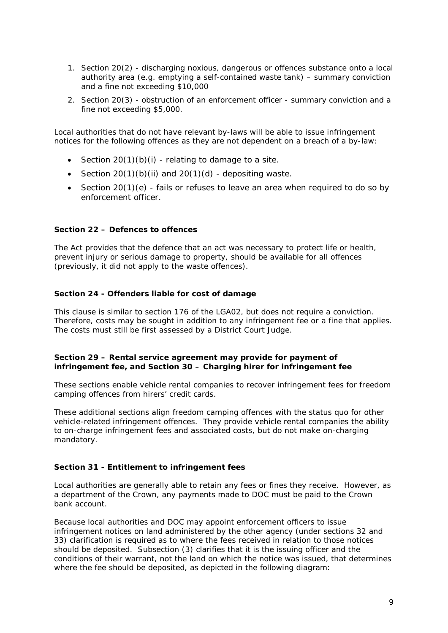- 1. Section 20(2) discharging noxious, dangerous or offences substance onto a local authority area (e.g. emptying a self-contained waste tank) – summary conviction and a fine not exceeding \$10,000
- 2. Section 20(3) obstruction of an enforcement officer summary conviction and a fine not exceeding \$5,000.

Local authorities that do not have relevant by-laws will be able to issue infringement notices for the following offences as they are not dependent on a breach of a by-law:

- Section  $20(1)(b)(i)$  relating to damage to a site.
- Section  $20(1)(b)(ii)$  and  $20(1)(d)$  depositing waste.
- Section 20(1)(e) fails or refuses to leave an area when required to do so by enforcement officer.

#### **Section 22 – Defences to offences**

The Act provides that the defence that an act was necessary to protect life or health, prevent injury or serious damage to property, should be available for all offences (previously, it did not apply to the waste offences).

#### **Section 24 - Offenders liable for cost of damage**

This clause is similar to section 176 of the LGA02, but does not require a conviction. Therefore, costs may be sought in addition to any infringement fee or a fine that applies. The costs must still be first assessed by a District Court Judge.

#### **Section 29 – Rental service agreement may provide for payment of infringement fee, and Section 30 – Charging hirer for infringement fee**

These sections enable vehicle rental companies to recover infringement fees for freedom camping offences from hirers' credit cards.

These additional sections align freedom camping offences with the status quo for other vehicle-related infringement offences. They provide vehicle rental companies the ability to on-charge infringement fees and associated costs, but do not make on-charging mandatory.

#### **Section 31 - Entitlement to infringement fees**

Local authorities are generally able to retain any fees or fines they receive. However, as a department of the Crown, any payments made to DOC must be paid to the Crown bank account.

Because local authorities and DOC may appoint enforcement officers to issue infringement notices on land administered by the other agency (under sections 32 and 33) clarification is required as to where the fees received in relation to those notices should be deposited. Subsection (3) clarifies that it is the issuing officer and the conditions of their warrant, not the land on which the notice was issued, that determines where the fee should be deposited, as depicted in the following diagram: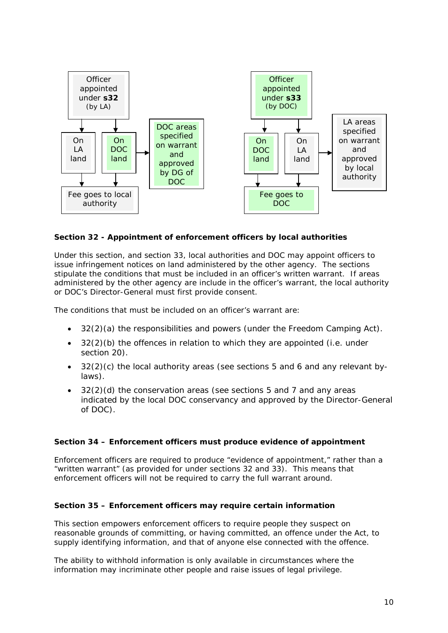

## **Section 32 - Appointment of enforcement officers by local authorities**

Under this section, and section 33, local authorities and DOC may appoint officers to issue infringement notices on land administered by the other agency. The sections stipulate the conditions that must be included in an officer's written warrant. If areas administered by the other agency are include in the officer's warrant, the local authority or DOC's Director-General must first provide consent.

The conditions that must be included on an officer's warrant are:

- 32(2)(a) the responsibilities and powers (under the Freedom Camping Act).
- $32(2)(b)$  the offences in relation to which they are appointed (i.e. under section 20).
- 32(2)(c) the local authority areas (see sections 5 and 6 and any relevant bylaws).
- 32(2)(d) the conservation areas (see sections 5 and 7 and any areas indicated by the local DOC conservancy and approved by the Director-General of DOC).

#### **Section 34 – Enforcement officers must produce evidence of appointment**

Enforcement officers are required to produce "evidence of appointment," rather than a "written warrant" (as provided for under sections 32 and 33). This means that enforcement officers will not be required to carry the full warrant around.

#### **Section 35 – Enforcement officers may require certain information**

This section empowers enforcement officers to require people they suspect on reasonable grounds of committing, or having committed, an offence under the Act, to supply identifying information, and that of anyone else connected with the offence.

The ability to withhold information is only available in circumstances where the information may incriminate other people and raise issues of legal privilege.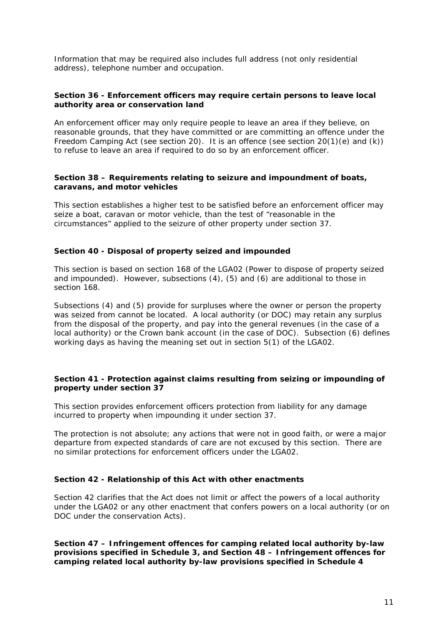Information that may be required also includes full address (not only residential address), telephone number and occupation.

#### **Section 36 - Enforcement officers may require certain persons to leave local authority area or conservation land**

An enforcement officer may only require people to leave an area if they believe, on reasonable grounds, that they have committed or are committing an offence under the Freedom Camping Act (see section 20). It is an offence (see section 20(1)(e) and (k)) to refuse to leave an area if required to do so by an enforcement officer.

#### **Section 38 – Requirements relating to seizure and impoundment of boats, caravans, and motor vehicles**

This section establishes a higher test to be satisfied before an enforcement officer may seize a boat, caravan or motor vehicle, than the test of "reasonable in the circumstances" applied to the seizure of other property under section 37.

#### **Section 40 - Disposal of property seized and impounded**

This section is based on section 168 of the LGA02 (Power to dispose of property seized and impounded). However, subsections (4), (5) and (6) are additional to those in section 168.

Subsections (4) and (5) provide for surpluses where the owner or person the property was seized from cannot be located. A local authority (or DOC) may retain any surplus from the disposal of the property, and pay into the general revenues (in the case of a local authority) or the Crown bank account (in the case of DOC). Subsection (6) defines working days as having the meaning set out in section 5(1) of the LGA02.

#### **Section 41 - Protection against claims resulting from seizing or impounding of property under section 37**

This section provides enforcement officers protection from liability for any damage incurred to property when impounding it under section 37.

The protection is not absolute; any actions that were not in good faith, or were a major departure from expected standards of care are not excused by this section. There are no similar protections for enforcement officers under the LGA02.

#### **Section 42 - Relationship of this Act with other enactments**

Section 42 clarifies that the Act does not limit or affect the powers of a local authority under the LGA02 or any other enactment that confers powers on a local authority (or on DOC under the conservation Acts).

**Section 47 – Infringement offences for camping related local authority by-law provisions specified in Schedule 3, and Section 48 – Infringement offences for camping related local authority by-law provisions specified in Schedule 4**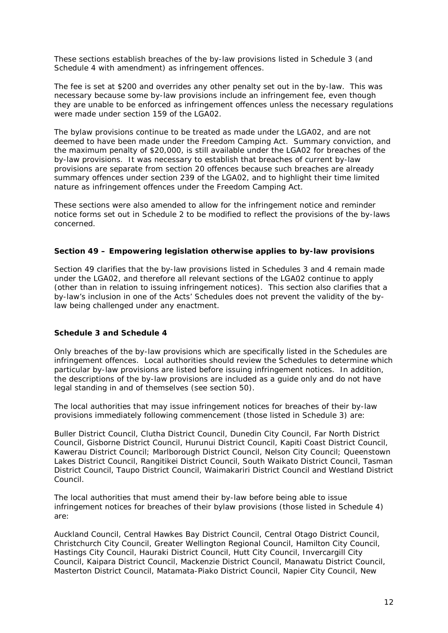These sections establish breaches of the by-law provisions listed in Schedule 3 (and Schedule 4 with amendment) as infringement offences.

The fee is set at \$200 and overrides any other penalty set out in the by-law. This was necessary because some by-law provisions include an infringement fee, even though they are unable to be enforced as infringement offences unless the necessary regulations were made under section 159 of the LGA02.

The bylaw provisions continue to be treated as made under the LGA02, and are not deemed to have been made under the Freedom Camping Act. Summary conviction, and the maximum penalty of \$20,000, is still available under the LGA02 for breaches of the by-law provisions. It was necessary to establish that breaches of current by-law provisions are separate from section 20 offences because such breaches are already summary offences under section 239 of the LGA02, and to highlight their time limited nature as infringement offences under the Freedom Camping Act.

These sections were also amended to allow for the infringement notice and reminder notice forms set out in Schedule 2 to be modified to reflect the provisions of the by-laws concerned.

#### **Section 49 – Empowering legislation otherwise applies to by-law provisions**

Section 49 clarifies that the by-law provisions listed in Schedules 3 and 4 remain made under the LGA02, and therefore all relevant sections of the LGA02 continue to apply (other than in relation to issuing infringement notices). This section also clarifies that a by-law's inclusion in one of the Acts' Schedules does not prevent the validity of the bylaw being challenged under any enactment.

#### **Schedule 3 and Schedule 4**

Only breaches of the by-law provisions which are specifically listed in the Schedules are infringement offences. Local authorities should review the Schedules to determine which particular by-law provisions are listed before issuing infringement notices. In addition, the descriptions of the by-law provisions are included as a guide only and do not have legal standing in and of themselves (see section 50).

The local authorities that may issue infringement notices for breaches of their by-law provisions immediately following commencement (those listed in Schedule 3) are:

Buller District Council, Clutha District Council, Dunedin City Council, Far North District Council, Gisborne District Council, Hurunui District Council, Kapiti Coast District Council, Kawerau District Council; Marlborough District Council, Nelson City Council; Queenstown Lakes District Council, Rangitikei District Council, South Waikato District Council, Tasman District Council, Taupo District Council, Waimakariri District Council and Westland District Council.

The local authorities that must amend their by-law before being able to issue infringement notices for breaches of their bylaw provisions (those listed in Schedule 4) are:

Auckland Council, Central Hawkes Bay District Council, Central Otago District Council, Christchurch City Council, Greater Wellington Regional Council, Hamilton City Council, Hastings City Council, Hauraki District Council, Hutt City Council, Invercargill City Council, Kaipara District Council, Mackenzie District Council, Manawatu District Council, Masterton District Council, Matamata-Piako District Council, Napier City Council, New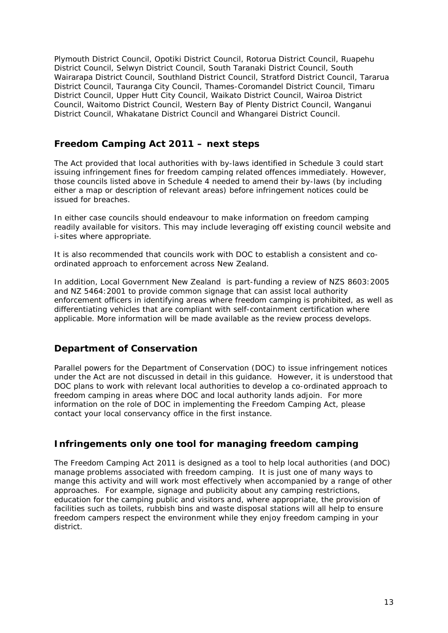Plymouth District Council, Opotiki District Council, Rotorua District Council, Ruapehu District Council, Selwyn District Council, South Taranaki District Council, South Wairarapa District Council, Southland District Council, Stratford District Council, Tararua District Council, Tauranga City Council, Thames-Coromandel District Council, Timaru District Council, Upper Hutt City Council, Waikato District Council, Wairoa District Council, Waitomo District Council, Western Bay of Plenty District Council, Wanganui District Council, Whakatane District Council and Whangarei District Council.

## **Freedom Camping Act 2011 – next steps**

The Act provided that local authorities with by-laws identified in Schedule 3 could start issuing infringement fines for freedom camping related offences immediately. However, those councils listed above in Schedule 4 needed to amend their by-laws (by including either a map or description of relevant areas) before infringement notices could be issued for breaches.

In either case councils should endeavour to make information on freedom camping readily available for visitors. This may include leveraging off existing council website and i-sites where appropriate.

It is also recommended that councils work with DOC to establish a consistent and coordinated approach to enforcement across New Zealand.

In addition, *Local Government New Zealand* is part-funding a review of NZS 8603:2005 and NZ 5464:2001 to provide common signage that can assist local authority enforcement officers in identifying areas where freedom camping is prohibited, as well as differentiating vehicles that are compliant with self-containment certification where applicable. More information will be made available as the review process develops.

# **Department of Conservation**

Parallel powers for the Department of Conservation (DOC) to issue infringement notices under the Act are not discussed in detail in this guidance. However, it is understood that DOC plans to work with relevant local authorities to develop a co-ordinated approach to freedom camping in areas where DOC and local authority lands adjoin. For more information on the role of DOC in implementing the Freedom Camping Act, please contact your local conservancy office in the first instance.

## **Infringements only one tool for managing freedom camping**

The Freedom Camping Act 2011 is designed as a tool to help local authorities (and DOC) manage problems associated with freedom camping. It is just one of many ways to mange this activity and will work most effectively when accompanied by a range of other approaches. For example, signage and publicity about any camping restrictions, education for the camping public and visitors and, where appropriate, the provision of facilities such as toilets, rubbish bins and waste disposal stations will all help to ensure freedom campers respect the environment while they enjoy freedom camping in your district.